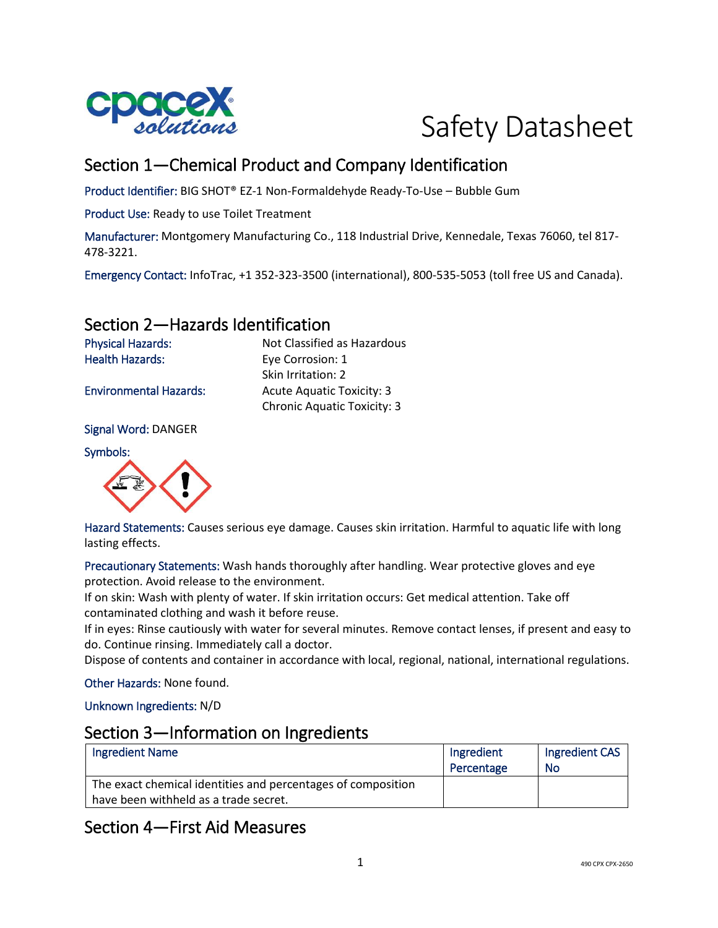

# Safety Datasheet

# Section 1—Chemical Product and Company Identification

Product Identifier: BIG SHOT® EZ-1 Non-Formaldehyde Ready-To-Use – Bubble Gum

Product Use: Ready to use Toilet Treatment

Manufacturer: Montgomery Manufacturing Co., 118 Industrial Drive, Kennedale, Texas 76060, tel 817- 478-3221.

Emergency Contact: InfoTrac, +1 352-323-3500 (international), 800-535-5053 (toll free US and Canada).

## Section 2—Hazards Identification

Physical Hazards: Not Classified as Hazardous Health Hazards: Eye Corrosion: 1 Skin Irritation: 2 Environmental Hazards: Acute Aquatic Toxicity: 3 Chronic Aquatic Toxicity: 3

Signal Word: DANGER

Symbols:



Hazard Statements: Causes serious eye damage. Causes skin irritation. Harmful to aquatic life with long lasting effects.

Precautionary Statements: Wash hands thoroughly after handling. Wear protective gloves and eye protection. Avoid release to the environment.

If on skin: Wash with plenty of water. If skin irritation occurs: Get medical attention. Take off contaminated clothing and wash it before reuse.

If in eyes: Rinse cautiously with water for several minutes. Remove contact lenses, if present and easy to do. Continue rinsing. Immediately call a doctor.

Dispose of contents and container in accordance with local, regional, national, international regulations.

Other Hazards: None found.

Unknown Ingredients: N/D

#### Section 3—Information on Ingredients

| Ingredient Name                                              | Ingredient<br>Percentage | Ingredient CAS<br>No |
|--------------------------------------------------------------|--------------------------|----------------------|
| The exact chemical identities and percentages of composition |                          |                      |
| have been withheld as a trade secret.                        |                          |                      |

# Section 4—First Aid Measures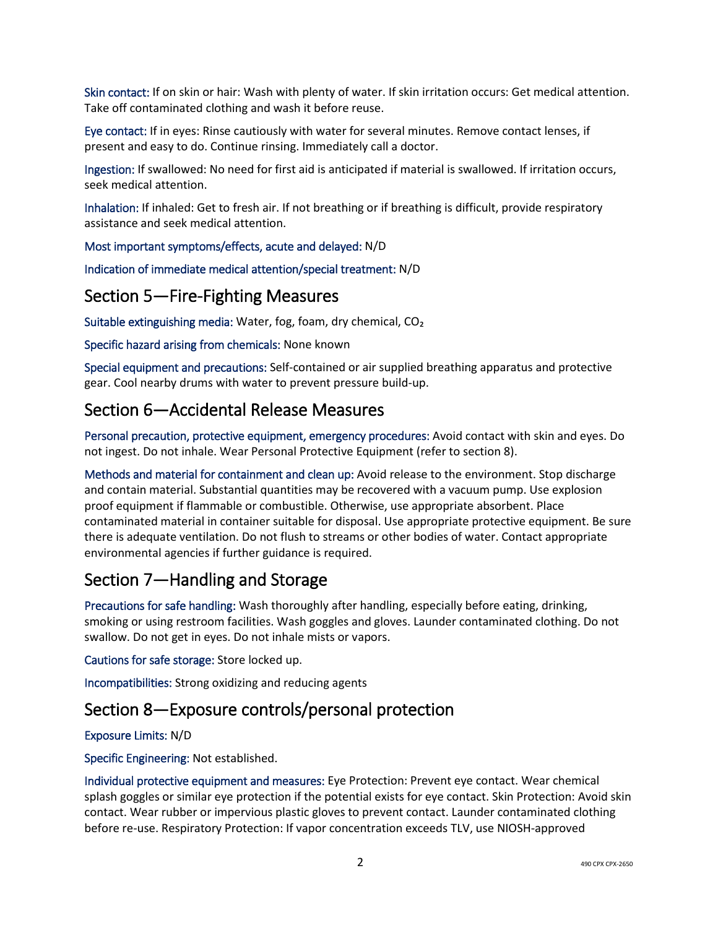Skin contact: If on skin or hair: Wash with plenty of water. If skin irritation occurs: Get medical attention. Take off contaminated clothing and wash it before reuse.

Eye contact: If in eyes: Rinse cautiously with water for several minutes. Remove contact lenses, if present and easy to do. Continue rinsing. Immediately call a doctor.

Ingestion: If swallowed: No need for first aid is anticipated if material is swallowed. If irritation occurs, seek medical attention.

Inhalation: If inhaled: Get to fresh air. If not breathing or if breathing is difficult, provide respiratory assistance and seek medical attention.

Most important symptoms/effects, acute and delayed: N/D

Indication of immediate medical attention/special treatment: N/D

## Section 5—Fire-Fighting Measures

Suitable extinguishing media: Water, fog, foam, dry chemical, CO₂

Specific hazard arising from chemicals: None known

Special equipment and precautions: Self-contained or air supplied breathing apparatus and protective gear. Cool nearby drums with water to prevent pressure build-up.

## Section 6—Accidental Release Measures

Personal precaution, protective equipment, emergency procedures: Avoid contact with skin and eyes. Do not ingest. Do not inhale. Wear Personal Protective Equipment (refer to section 8).

Methods and material for containment and clean up: Avoid release to the environment. Stop discharge and contain material. Substantial quantities may be recovered with a vacuum pump. Use explosion proof equipment if flammable or combustible. Otherwise, use appropriate absorbent. Place contaminated material in container suitable for disposal. Use appropriate protective equipment. Be sure there is adequate ventilation. Do not flush to streams or other bodies of water. Contact appropriate environmental agencies if further guidance is required.

# Section 7—Handling and Storage

Precautions for safe handling: Wash thoroughly after handling, especially before eating, drinking, smoking or using restroom facilities. Wash goggles and gloves. Launder contaminated clothing. Do not swallow. Do not get in eyes. Do not inhale mists or vapors.

Cautions for safe storage: Store locked up.

Incompatibilities: Strong oxidizing and reducing agents

#### Section 8—Exposure controls/personal protection

#### Exposure Limits: N/D

Specific Engineering: Not established.

Individual protective equipment and measures: Eye Protection: Prevent eye contact. Wear chemical splash goggles or similar eye protection if the potential exists for eye contact. Skin Protection: Avoid skin contact. Wear rubber or impervious plastic gloves to prevent contact. Launder contaminated clothing before re-use. Respiratory Protection: If vapor concentration exceeds TLV, use NIOSH-approved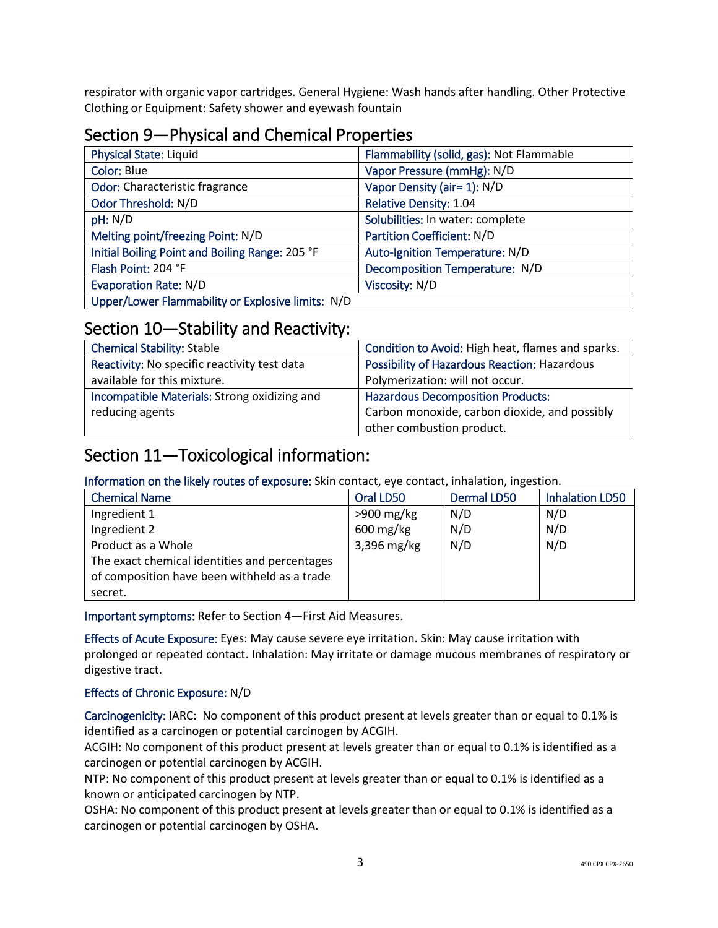respirator with organic vapor cartridges. General Hygiene: Wash hands after handling. Other Protective Clothing or Equipment: Safety shower and eyewash fountain

# Section 9—Physical and Chemical Properties

| <b>Physical State: Liquid</b>                     | Flammability (solid, gas): Not Flammable |
|---------------------------------------------------|------------------------------------------|
| Color: Blue                                       | Vapor Pressure (mmHg): N/D               |
| Odor: Characteristic fragrance                    | Vapor Density (air= 1): N/D              |
| Odor Threshold: N/D                               | <b>Relative Density: 1.04</b>            |
| pH: N/D                                           | Solubilities: In water: complete         |
| Melting point/freezing Point: N/D                 | Partition Coefficient: N/D               |
| Initial Boiling Point and Boiling Range: 205 °F   | Auto-Ignition Temperature: N/D           |
| Flash Point: 204 °F                               | Decomposition Temperature: N/D           |
| <b>Evaporation Rate: N/D</b>                      | Viscosity: N/D                           |
| Upper/Lower Flammability or Explosive limits: N/D |                                          |

#### Section 10—Stability and Reactivity:

| <b>Chemical Stability: Stable</b>            | Condition to Avoid: High heat, flames and sparks.   |
|----------------------------------------------|-----------------------------------------------------|
| Reactivity: No specific reactivity test data | <b>Possibility of Hazardous Reaction: Hazardous</b> |
| available for this mixture.                  | Polymerization: will not occur.                     |
| Incompatible Materials: Strong oxidizing and | <b>Hazardous Decomposition Products:</b>            |
| reducing agents                              | Carbon monoxide, carbon dioxide, and possibly       |
|                                              | other combustion product.                           |

#### Section 11—Toxicological information:

Information on the likely routes of exposure: Skin contact, eye contact, inhalation, ingestion.

| <b>Chemical Name</b>                          | Oral LD50    | Dermal LD50 | <b>Inhalation LD50</b> |
|-----------------------------------------------|--------------|-------------|------------------------|
| Ingredient 1                                  | $>900$ mg/kg | N/D         | N/D                    |
| Ingredient 2                                  | $600$ mg/kg  | N/D         | N/D                    |
| Product as a Whole                            | 3,396 mg/kg  | N/D         | N/D                    |
| The exact chemical identities and percentages |              |             |                        |
| of composition have been withheld as a trade  |              |             |                        |
| secret.                                       |              |             |                        |

Important symptoms: Refer to Section 4—First Aid Measures.

Effects of Acute Exposure: Eyes: May cause severe eye irritation. Skin: May cause irritation with prolonged or repeated contact. Inhalation: May irritate or damage mucous membranes of respiratory or digestive tract.

#### Effects of Chronic Exposure: N/D

Carcinogenicity: IARC: No component of this product present at levels greater than or equal to 0.1% is identified as a carcinogen or potential carcinogen by ACGIH.

ACGIH: No component of this product present at levels greater than or equal to 0.1% is identified as a carcinogen or potential carcinogen by ACGIH.

NTP: No component of this product present at levels greater than or equal to 0.1% is identified as a known or anticipated carcinogen by NTP.

OSHA: No component of this product present at levels greater than or equal to 0.1% is identified as a carcinogen or potential carcinogen by OSHA.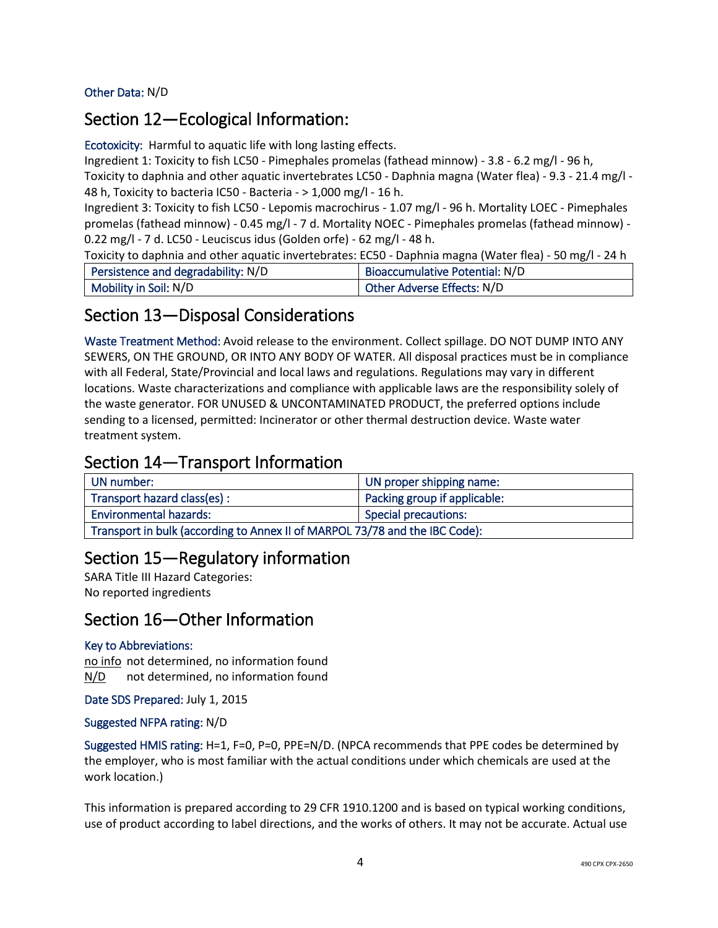Other Data: N/D

#### Section 12—Ecological Information:

Ecotoxicity: Harmful to aquatic life with long lasting effects.

Ingredient 1: Toxicity to fish LC50 - Pimephales promelas (fathead minnow) - 3.8 - 6.2 mg/l - 96 h, Toxicity to daphnia and other aquatic invertebrates LC50 - Daphnia magna (Water flea) - 9.3 - 21.4 mg/l - 48 h, Toxicity to bacteria IC50 - Bacteria - > 1,000 mg/l - 16 h.

Ingredient 3: Toxicity to fish LC50 - Lepomis macrochirus - 1.07 mg/l - 96 h. Mortality LOEC - Pimephales promelas (fathead minnow) - 0.45 mg/l - 7 d. Mortality NOEC - Pimephales promelas (fathead minnow) - 0.22 mg/l - 7 d. LC50 - Leuciscus idus (Golden orfe) - 62 mg/l - 48 h.

Toxicity to daphnia and other aquatic invertebrates: EC50 - Daphnia magna (Water flea) - 50 mg/l - 24 h

| Persistence and degradability: N/D | <b>Bioaccumulative Potential: N/D</b> |
|------------------------------------|---------------------------------------|
| Mobility in Soil: N/D              | Other Adverse Effects: N/D            |

## Section 13—Disposal Considerations

Waste Treatment Method: Avoid release to the environment. Collect spillage. DO NOT DUMP INTO ANY SEWERS, ON THE GROUND, OR INTO ANY BODY OF WATER. All disposal practices must be in compliance with all Federal, State/Provincial and local laws and regulations. Regulations may vary in different locations. Waste characterizations and compliance with applicable laws are the responsibility solely of the waste generator. FOR UNUSED & UNCONTAMINATED PRODUCT, the preferred options include sending to a licensed, permitted: Incinerator or other thermal destruction device. Waste water treatment system.

#### Section 14—Transport Information

| UN number:                                                                  | UN proper shipping name:     |
|-----------------------------------------------------------------------------|------------------------------|
| Transport hazard class(es):                                                 | Packing group if applicable: |
| <b>Environmental hazards:</b>                                               | <b>Special precautions:</b>  |
| Transport in bulk (according to Annex II of MARPOL 73/78 and the IBC Code): |                              |

# Section 15—Regulatory information

SARA Title III Hazard Categories: No reported ingredients

#### Section 16—Other Information

#### Key to Abbreviations:

no info not determined, no information found N/D not determined, no information found

Date SDS Prepared: July 1, 2015

#### Suggested NFPA rating: N/D

Suggested HMIS rating: H=1, F=0, P=0, PPE=N/D. (NPCA recommends that PPE codes be determined by the employer, who is most familiar with the actual conditions under which chemicals are used at the work location.)

This information is prepared according to 29 CFR 1910.1200 and is based on typical working conditions, use of product according to label directions, and the works of others. It may not be accurate. Actual use